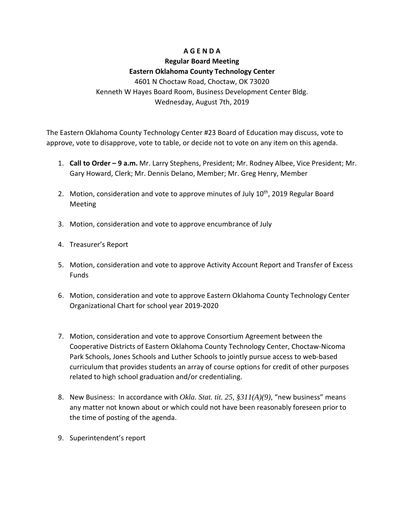### **A G E N D A**

# **Regular Board Meeting**

## **Eastern Oklahoma County Technology Center**

4601 N Choctaw Road, Choctaw, OK 73020 Kenneth W Hayes Board Room, Business Development Center Bldg. Wednesday, August 7th, 2019

The Eastern Oklahoma County Technology Center #23 Board of Education may discuss, vote to approve, vote to disapprove, vote to table, or decide not to vote on any item on this agenda.

- 1. **Call to Order – 9 a.m.** Mr. Larry Stephens, President; Mr. Rodney Albee, Vice President; Mr. Gary Howard, Clerk; Mr. Dennis Delano, Member; Mr. Greg Henry, Member
- 2. Motion, consideration and vote to approve minutes of July 10<sup>th</sup>, 2019 Regular Board Meeting
- 3. Motion, consideration and vote to approve encumbrance of July
- 4. Treasurer's Report
- 5. Motion, consideration and vote to approve Activity Account Report and Transfer of Excess Funds
- 6. Motion, consideration and vote to approve Eastern Oklahoma County Technology Center Organizational Chart for school year 2019-2020
- 7. Motion, consideration and vote to approve Consortium Agreement between the Cooperative Districts of Eastern Oklahoma County Technology Center, Choctaw-Nicoma Park Schools, Jones Schools and Luther Schools to jointly pursue access to web-based curriculum that provides students an array of course options for credit of other purposes related to high school graduation and/or credentialing.
- 8. New Business: In accordance with *Okla. Stat. tit. 25, §311(A)(9)*, "new business" means any matter not known about or which could not have been reasonably foreseen prior to the time of posting of the agenda.
- 9. Superintendent's report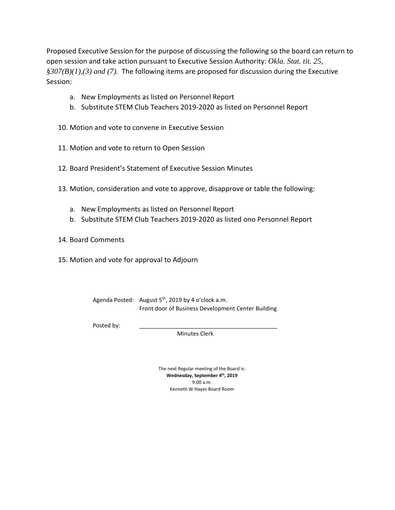Proposed Executive Session for the purpose of discussing the following so the board can return to open session and take action pursuant to Executive Session Authority: *Okla. Stat. tit. 25, §307(B)(1),(3) and (7).* The following items are proposed for discussion during the Executive Session:

- a. New Employments as listed on Personnel Report
- b. Substitute STEM Club Teachers 2019-2020 as listed on Personnel Report
- 10. Motion and vote to convene in Executive Session
- 11. Motion and vote to return to Open Session
- 12. Board President's Statement of Executive Session Minutes
- 13. Motion, consideration and vote to approve, disapprove or table the following:
	- a. New Employments as listed on Personnel Report
	- b. Substitute STEM Club Teachers 2019-2020 as listed ono Personnel Report
- 14. Board Comments
- 15. Motion and vote for approval to Adjourn

| Agenda Posted: August $5th$ , 2019 by 4 o'clock a.m. |
|------------------------------------------------------|
| Front door of Business Development Center Building   |

Posted by:

Minutes Clerk

The next Regular meeting of the Board is: **Wednesday, September 4th, 2019** 9:00 a.m. Kenneth W Hayes Board Room